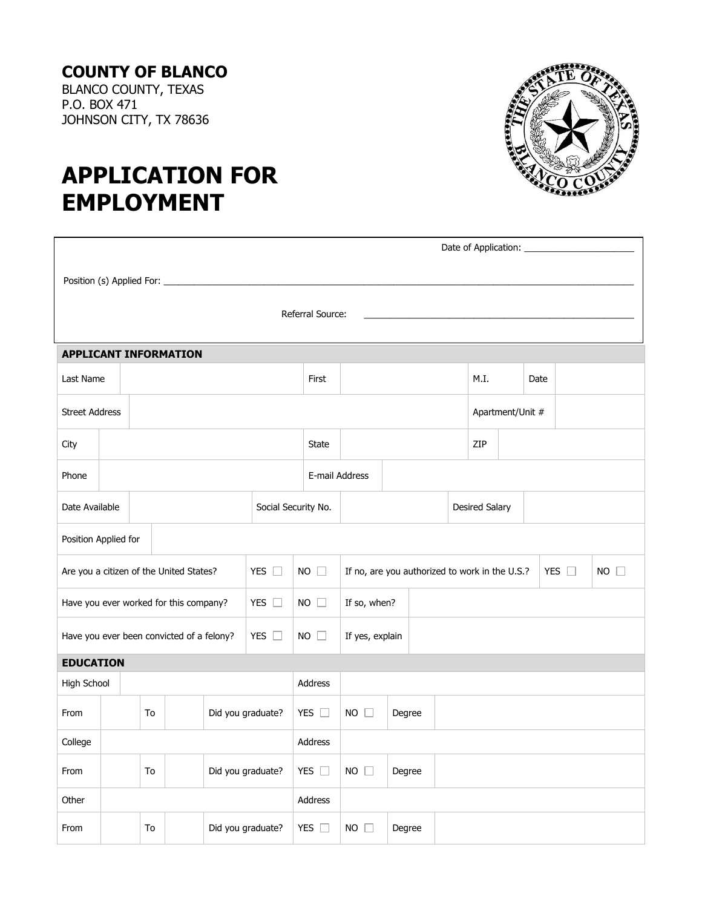## **COUNTY OF BLANCO**

BLANCO COUNTY, TEXAS P.O. BOX 471 JOHNSON CITY, TX 78636



# **APPLICATION FOR EMPLOYMENT**

| Date of Application: _________                                                                                                                            |  |    |  |  |                   |  |                |              |                       |                  |  |     |  |  |  |
|-----------------------------------------------------------------------------------------------------------------------------------------------------------|--|----|--|--|-------------------|--|----------------|--------------|-----------------------|------------------|--|-----|--|--|--|
|                                                                                                                                                           |  |    |  |  |                   |  |                |              |                       |                  |  |     |  |  |  |
|                                                                                                                                                           |  |    |  |  |                   |  |                |              |                       |                  |  |     |  |  |  |
| Referral Source:                                                                                                                                          |  |    |  |  |                   |  |                |              |                       |                  |  |     |  |  |  |
| <b>APPLICANT INFORMATION</b>                                                                                                                              |  |    |  |  |                   |  |                |              |                       |                  |  |     |  |  |  |
| Last Name<br>M.I.<br>First<br>Date                                                                                                                        |  |    |  |  |                   |  |                |              |                       |                  |  |     |  |  |  |
| <b>Street Address</b>                                                                                                                                     |  |    |  |  |                   |  |                |              |                       | Apartment/Unit # |  |     |  |  |  |
| City                                                                                                                                                      |  |    |  |  |                   |  | <b>State</b>   |              |                       |                  |  | ZIP |  |  |  |
| Phone                                                                                                                                                     |  |    |  |  |                   |  | E-mail Address |              |                       |                  |  |     |  |  |  |
| Social Security No.<br>Date Available                                                                                                                     |  |    |  |  |                   |  |                |              | <b>Desired Salary</b> |                  |  |     |  |  |  |
| Position Applied for                                                                                                                                      |  |    |  |  |                   |  |                |              |                       |                  |  |     |  |  |  |
| YES $\square$<br>$NO$ $\Box$<br>YES $\square$<br>$NO$ $\Box$<br>Are you a citizen of the United States?<br>If no, are you authorized to work in the U.S.? |  |    |  |  |                   |  |                |              |                       |                  |  |     |  |  |  |
| YES $\square$<br>Have you ever worked for this company?<br>$NO \square$<br>If so, when?                                                                   |  |    |  |  |                   |  |                |              |                       |                  |  |     |  |  |  |
| YES $\square$<br>$NO$ $\Box$<br>If yes, explain<br>Have you ever been convicted of a felony?                                                              |  |    |  |  |                   |  |                |              |                       |                  |  |     |  |  |  |
| <b>EDUCATION</b>                                                                                                                                          |  |    |  |  |                   |  |                |              |                       |                  |  |     |  |  |  |
| High School                                                                                                                                               |  |    |  |  |                   |  | Address        |              |                       |                  |  |     |  |  |  |
| From                                                                                                                                                      |  | To |  |  | Did you graduate? |  | YES $\square$  | $NO$ $\Box$  | Degree                |                  |  |     |  |  |  |
| College                                                                                                                                                   |  |    |  |  | Address           |  |                |              |                       |                  |  |     |  |  |  |
| From                                                                                                                                                      |  | To |  |  | Did you graduate? |  | YES $\square$  | $NO$ $\Box$  | Degree                |                  |  |     |  |  |  |
| Other                                                                                                                                                     |  |    |  |  | Address           |  |                |              |                       |                  |  |     |  |  |  |
| From                                                                                                                                                      |  | To |  |  | Did you graduate? |  | YES $\square$  | $NO \square$ | Degree                |                  |  |     |  |  |  |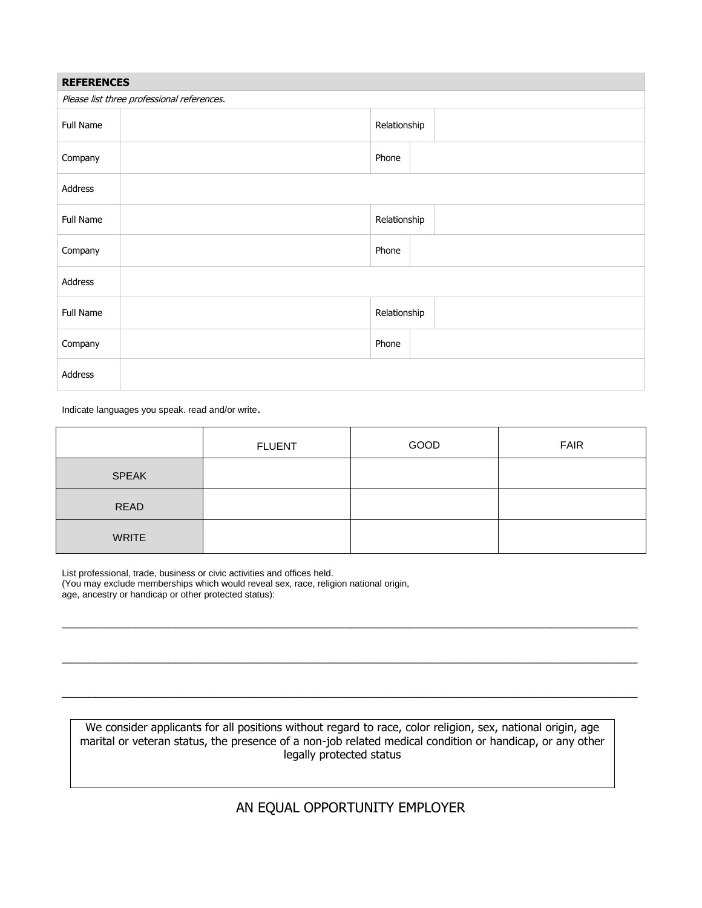| <b>REFERENCES</b>                          |  |              |  |  |  |  |  |
|--------------------------------------------|--|--------------|--|--|--|--|--|
| Please list three professional references. |  |              |  |  |  |  |  |
| Full Name                                  |  | Relationship |  |  |  |  |  |
| Company                                    |  | Phone        |  |  |  |  |  |
| Address                                    |  |              |  |  |  |  |  |
| Full Name                                  |  | Relationship |  |  |  |  |  |
| Company                                    |  | Phone        |  |  |  |  |  |
| Address                                    |  |              |  |  |  |  |  |
| Full Name                                  |  | Relationship |  |  |  |  |  |
| Company                                    |  | Phone        |  |  |  |  |  |
| Address                                    |  |              |  |  |  |  |  |

Indicate languages you speak. read and/or write.

|              | <b>FLUENT</b> | GOOD | <b>FAIR</b> |
|--------------|---------------|------|-------------|
| <b>SPEAK</b> |               |      |             |
| <b>READ</b>  |               |      |             |
| <b>WRITE</b> |               |      |             |

 $\_$  ,  $\_$  ,  $\_$  ,  $\_$  ,  $\_$  ,  $\_$  ,  $\_$  ,  $\_$  ,  $\_$  ,  $\_$  ,  $\_$  ,  $\_$  ,  $\_$  ,  $\_$  ,  $\_$  ,  $\_$  ,  $\_$  ,  $\_$  ,  $\_$  ,  $\_$  ,  $\_$  ,  $\_$  ,  $\_$  ,  $\_$  ,  $\_$  ,  $\_$  ,  $\_$  ,  $\_$  ,  $\_$  ,  $\_$  ,  $\_$  ,  $\_$  ,  $\_$  ,  $\_$  ,  $\_$  ,  $\_$  ,  $\_$  ,

\_\_\_\_\_\_\_\_\_\_\_\_\_\_\_\_\_\_\_\_\_\_\_\_\_\_\_\_\_\_\_\_\_\_\_\_\_\_\_\_\_\_\_\_\_\_\_\_\_\_\_\_\_\_\_\_\_\_\_\_\_\_\_\_\_\_\_\_\_\_\_\_\_\_\_\_\_\_\_\_\_\_\_\_\_\_

 $\_$  ,  $\_$  ,  $\_$  ,  $\_$  ,  $\_$  ,  $\_$  ,  $\_$  ,  $\_$  ,  $\_$  ,  $\_$  ,  $\_$  ,  $\_$  ,  $\_$  ,  $\_$  ,  $\_$  ,  $\_$  ,  $\_$  ,  $\_$  ,  $\_$  ,  $\_$  ,  $\_$  ,  $\_$  ,  $\_$  ,  $\_$  ,  $\_$  ,  $\_$  ,  $\_$  ,  $\_$  ,  $\_$  ,  $\_$  ,  $\_$  ,  $\_$  ,  $\_$  ,  $\_$  ,  $\_$  ,  $\_$  ,  $\_$  ,

List professional, trade, business or civic activities and offices held.

(You may exclude memberships which would reveal sex, race, religion national origin,

age, ancestry or handicap or other protected status):

We consider applicants for all positions without regard to race, color religion, sex, national origin, age marital or veteran status, the presence of a non-job related medical condition or handicap, or any other legally protected status

### AN EQUAL OPPORTUNITY EMPLOYER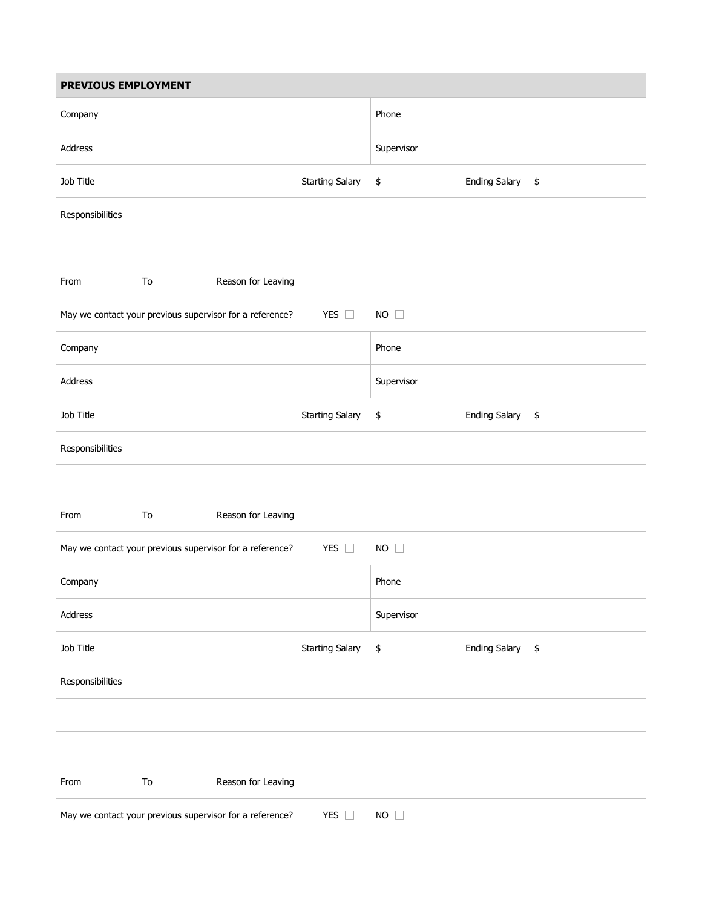| PREVIOUS EMPLOYMENT                                                                      |    |                                                          |                        |              |                  |  |  |  |  |
|------------------------------------------------------------------------------------------|----|----------------------------------------------------------|------------------------|--------------|------------------|--|--|--|--|
| Company                                                                                  |    |                                                          |                        | Phone        |                  |  |  |  |  |
| Address                                                                                  |    |                                                          | Supervisor             |              |                  |  |  |  |  |
| Job Title                                                                                |    |                                                          | <b>Starting Salary</b> | \$           | Ending Salary \$ |  |  |  |  |
| Responsibilities                                                                         |    |                                                          |                        |              |                  |  |  |  |  |
|                                                                                          |    |                                                          |                        |              |                  |  |  |  |  |
| From                                                                                     | To | Reason for Leaving                                       |                        |              |                  |  |  |  |  |
|                                                                                          |    | May we contact your previous supervisor for a reference? | YES $\Box$             | NO $\square$ |                  |  |  |  |  |
| Company                                                                                  |    |                                                          |                        | Phone        |                  |  |  |  |  |
| Address                                                                                  |    |                                                          |                        | Supervisor   |                  |  |  |  |  |
| Job Title<br><b>Starting Salary</b>                                                      |    |                                                          |                        | \$           | Ending Salary \$ |  |  |  |  |
| Responsibilities                                                                         |    |                                                          |                        |              |                  |  |  |  |  |
|                                                                                          |    |                                                          |                        |              |                  |  |  |  |  |
| From                                                                                     | To | Reason for Leaving                                       |                        |              |                  |  |  |  |  |
| YES $\square$<br>$NO$ $\Box$<br>May we contact your previous supervisor for a reference? |    |                                                          |                        |              |                  |  |  |  |  |
| Company                                                                                  |    |                                                          | Phone                  |              |                  |  |  |  |  |
| Address                                                                                  |    |                                                          | Supervisor             |              |                  |  |  |  |  |
| Job Title<br><b>Starting Salary</b>                                                      |    |                                                          |                        | $\pmb{\$}$   | Ending Salary \$ |  |  |  |  |
| Responsibilities                                                                         |    |                                                          |                        |              |                  |  |  |  |  |
|                                                                                          |    |                                                          |                        |              |                  |  |  |  |  |
|                                                                                          |    |                                                          |                        |              |                  |  |  |  |  |
| From                                                                                     | To | Reason for Leaving                                       |                        |              |                  |  |  |  |  |
|                                                                                          |    | May we contact your previous supervisor for a reference? | YES $\square$          | $NO \square$ |                  |  |  |  |  |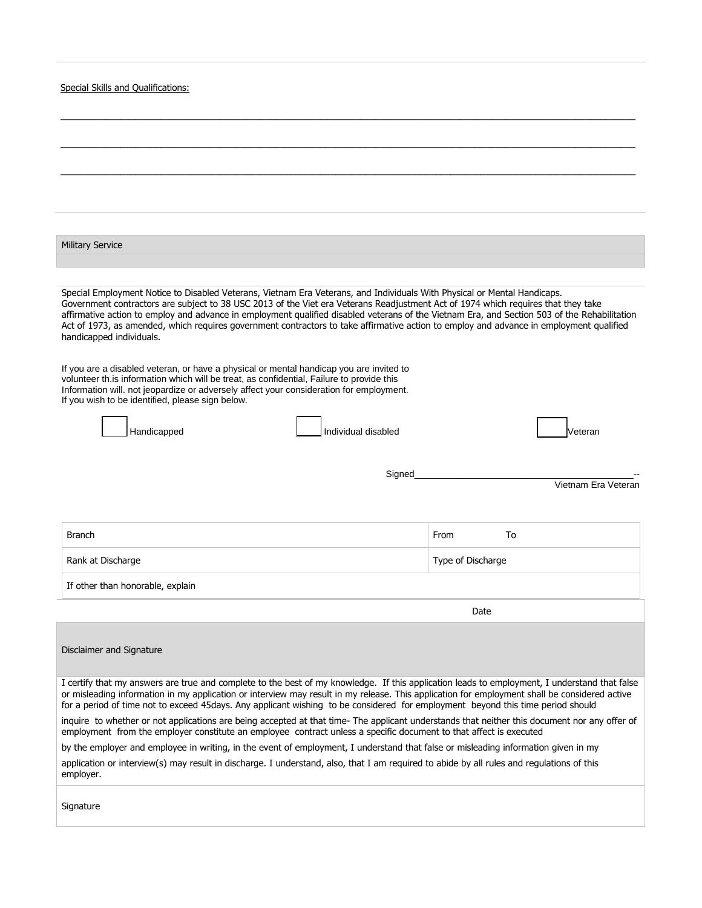|  |  |  |  | Special Skills and Oualifications: |  |
|--|--|--|--|------------------------------------|--|
|--|--|--|--|------------------------------------|--|

| <b>Military Service</b>                                                                                                                                                                                                                                                                                                                                                                                                                                                                                                                                                              |                     |  |  |  |  |  |
|--------------------------------------------------------------------------------------------------------------------------------------------------------------------------------------------------------------------------------------------------------------------------------------------------------------------------------------------------------------------------------------------------------------------------------------------------------------------------------------------------------------------------------------------------------------------------------------|---------------------|--|--|--|--|--|
|                                                                                                                                                                                                                                                                                                                                                                                                                                                                                                                                                                                      |                     |  |  |  |  |  |
| Special Employment Notice to Disabled Veterans, Vietnam Era Veterans, and Individuals With Physical or Mental Handicaps.<br>Government contractors are subject to 38 USC 2013 of the Viet era Veterans Readjustment Act of 1974 which requires that they take<br>affirmative action to employ and advance in employment qualified disabled veterans of the Vietnam Era, and Section 503 of the Rehabilitation<br>Act of 1973, as amended, which requires government contractors to take affirmative action to employ and advance in employment qualified<br>handicapped individuals. |                     |  |  |  |  |  |
| If you are a disabled veteran, or have a physical or mental handicap you are invited to<br>volunteer th. is information which will be treat, as confidential, Failure to provide this<br>Information will. not jeopardize or adversely affect your consideration for employment.<br>If you wish to be identified, please sign below.                                                                                                                                                                                                                                                 |                     |  |  |  |  |  |
| Individual disabled<br>Handicapped                                                                                                                                                                                                                                                                                                                                                                                                                                                                                                                                                   | √eteran             |  |  |  |  |  |
| Signed                                                                                                                                                                                                                                                                                                                                                                                                                                                                                                                                                                               |                     |  |  |  |  |  |
|                                                                                                                                                                                                                                                                                                                                                                                                                                                                                                                                                                                      | Vietnam Era Veteran |  |  |  |  |  |
| Branch                                                                                                                                                                                                                                                                                                                                                                                                                                                                                                                                                                               | From<br>To          |  |  |  |  |  |
| Rank at Discharge                                                                                                                                                                                                                                                                                                                                                                                                                                                                                                                                                                    | Type of Discharge   |  |  |  |  |  |
| If other than honorable, explain                                                                                                                                                                                                                                                                                                                                                                                                                                                                                                                                                     |                     |  |  |  |  |  |
|                                                                                                                                                                                                                                                                                                                                                                                                                                                                                                                                                                                      | Date                |  |  |  |  |  |
| Disclaimer and Signature                                                                                                                                                                                                                                                                                                                                                                                                                                                                                                                                                             |                     |  |  |  |  |  |
| I certify that my answers are true and complete to the best of my knowledge. If this application leads to employment, I understand that false<br>or misleading information in my application or interview may result in my release. This application for employment shall be considered active<br>for a period of time not to exceed 45days. Any applicant wishing to be considered for employment beyond this time period should                                                                                                                                                    |                     |  |  |  |  |  |
| inquire to whether or not applications are being accepted at that time-The applicant understands that neither this document nor any offer of<br>employment from the employer constitute an employee contract unless a specific document to that affect is executed                                                                                                                                                                                                                                                                                                                   |                     |  |  |  |  |  |
| by the employer and employee in writing, in the event of employment, I understand that false or misleading information given in my                                                                                                                                                                                                                                                                                                                                                                                                                                                   |                     |  |  |  |  |  |
| application or interview(s) may result in discharge. I understand, also, that I am required to abide by all rules and regulations of this<br>employer.                                                                                                                                                                                                                                                                                                                                                                                                                               |                     |  |  |  |  |  |
| Signature                                                                                                                                                                                                                                                                                                                                                                                                                                                                                                                                                                            |                     |  |  |  |  |  |

\_\_\_\_\_\_\_\_\_\_\_\_\_\_\_\_\_\_\_\_\_\_\_\_\_\_\_\_\_\_\_\_\_\_\_\_\_\_\_\_\_\_\_\_\_\_\_\_\_\_\_\_\_\_\_\_\_\_\_\_\_\_\_\_\_\_\_\_\_\_\_\_\_\_\_\_\_\_\_\_\_\_\_\_\_\_\_\_\_\_\_\_\_\_\_\_\_\_\_\_\_\_\_\_\_\_\_\_\_\_\_\_\_\_\_